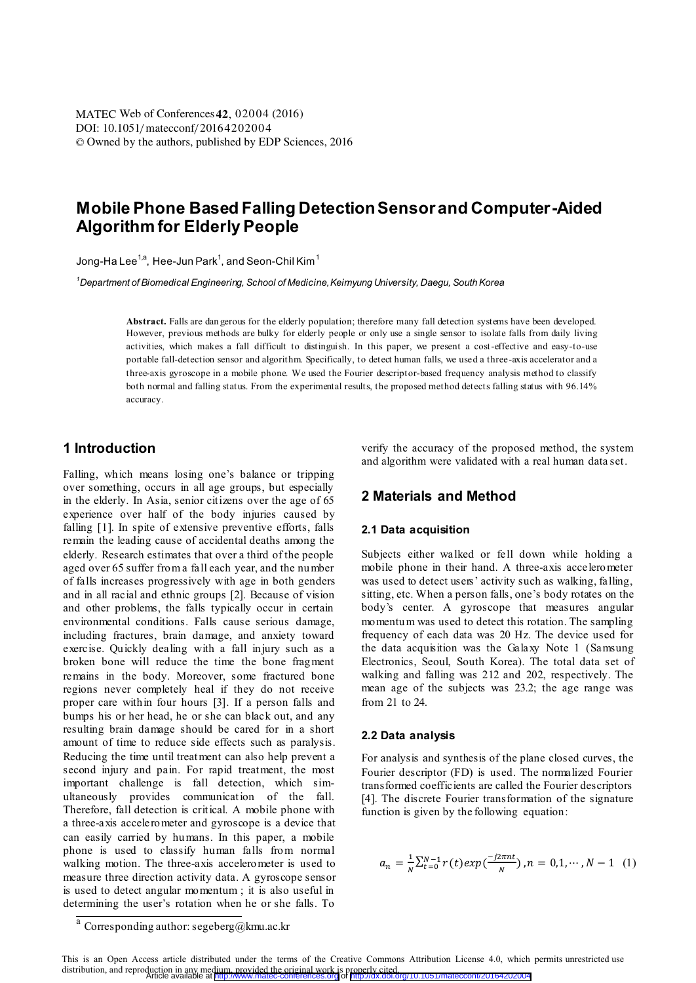DOI: 10.1051/matecconf/20164202004 © Owned by the authors, published by EDP Sciences, 2016 MATEC Web of Conferences **42**, 02004 (2016)

# **Mobile Phone Based Falling Detection Sensor and Computer-Aided Algorithm for Elderly People**

Jong-Ha Lee $^{1,a}$ , Hee-Jun Park $^1$ , and Seon-Chil Kim $^1$ 

*1 Department of Biomedical Engineering, School of Medicine, Keimyung University, Daegu, South Korea* 

**Abstract.** Falls are dan gerous for the elderly population; therefore many fall detection systems have been developed. However, previous methods are bulky for elderly people or only use a single sensor to isolate falls from daily living activities, which makes a fall difficult to distinguish. In this paper, we present a cost-effective and easy-to-use portable fall-detection sensor and algorithm. Specifically, to detect human falls, we used a three-axis accelerator and a three-axis gyroscope in a mobile phone. We used the Fourier descriptor-based frequency analysis method to classify both normal and falling status. From the experimental results, the proposed method detects falling status with 96.14% accuracy.

# **1 Introduction**

Falling, which means losing one's balance or tripping over something, occurs in all age groups, but especially in the elderly. In Asia, senior citizens over the age of 65 experience over half of the body injuries caused by falling [1]. In spite of extensive preventive efforts, falls remain the leading cause of accidental deaths among the elderly. Research estimates that over a third of the people aged over 65 suffer from a fall each year, and the number of falls increases progressively with age in both genders and in all racial and ethnic groups [2]. Because of vision and other problems, the falls typically occur in certain environmental conditions. Falls cause serious damage, including fractures, brain damage, and anxiety toward exercise. Quickly dealing with a fall injury such as a broken bone will reduce the time the bone fragment remains in the body. Moreover, some fractured bone regions never completely heal if they do not receive proper care within four hours [3]. If a person falls and bumps his or her head, he or she can black out, and any resulting brain damage should be cared for in a short amount of time to reduce side effects such as paralysis. Reducing the time until treatment can also help prevent a second injury and pain. For rapid treatment, the most important challenge is fall detection, which simultaneously provides communication of the fall. Therefore, fall detection is critical. A mobile phone with a three-axis accelerometer and gyroscope is a device that can easily carried by humans. In this paper, a mobile phone is used to classify human falls from normal walking motion. The three-axis accelerometer is used to measure three direction activity data. A gyroscope sensor is used to detect angular momentum ; it is also useful in determining the user's rotation when he or she falls. To

verify the accuracy of the proposed method, the system and algorithm were validated with a real human data set.

# **2 Materials and Method**

### **2.1 Data acquisition**

Subjects either walked or fell down while holding a mobile phone in their hand. A three-axis accelerometer was used to detect users' activity such as walking, falling, sitting, etc. When a person falls, one's body rotates on the body's center. A gyroscope that measures angular momentum was used to detect this rotation. The sampling frequency of each data was 20 Hz. The device used for the data acquisition was the Galaxy Note 1 (Samsung Electronics, Seoul, South Korea). The total data set of walking and falling was 212 and 202, respectively. The mean age of the subjects was 23.2; the age range was from 21 to 24.

#### **2.2 Data analysis**

For analysis and synthesis of the plane closed curves, the Fourier descriptor (FD) is used. The normalized Fourier transformed coefficients are called the Fourier descriptors [4]. The discrete Fourier transformation of the signature function is given by the following equation:

$$
a_n = \frac{1}{N} \sum_{t=0}^{N-1} r(t) \exp\left(\frac{-j2\pi nt}{N}\right), n = 0, 1, \cdots, N-1 \quad (1)
$$

 $a$  Corresponding author: segeberg@kmu.ac.kr

This is an Open Access article distributed under the terms of the Creative Commons Attribution License 4.0, which permits unrestricted use<br>distribution and reproduction in any medium provided the original work is properly distribution, and reproduction in any medium, provided the original work is properly cited. Article available at <http://www.matec-conferences.org> or <http://dx.doi.org/10.1051/matecconf/20164202004>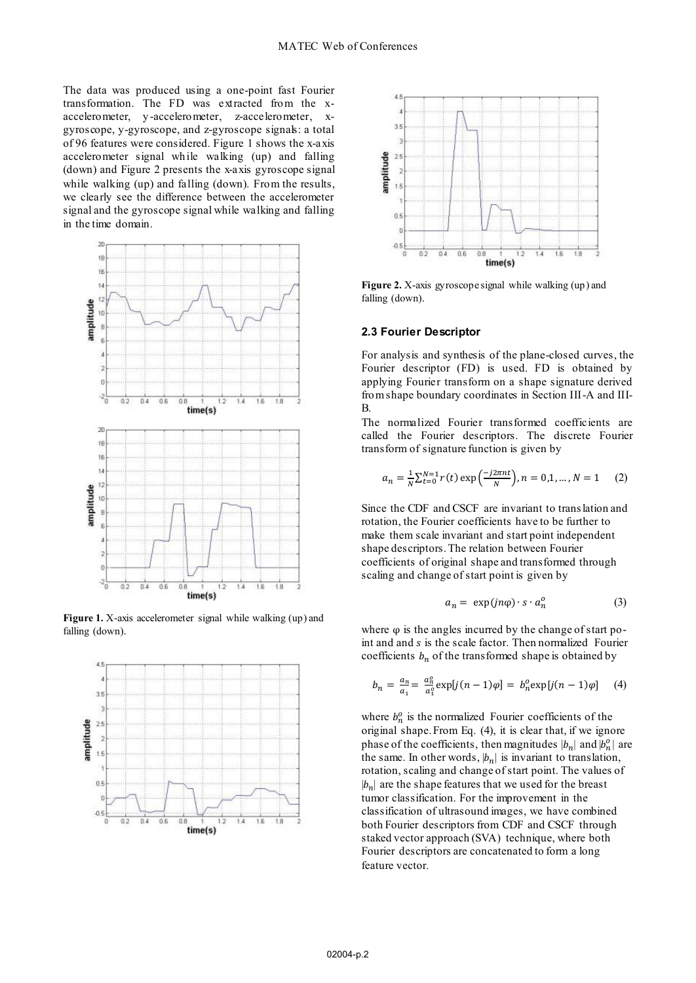The data was produced using a one-point fast Fourier transformation. The FD was extracted from the xaccelerometer, y -accelerometer, z-accelerometer, xgyroscope, y-gyroscope, and z-gyroscope signals: a total of 96 features were considered. Figure 1 shows the x-axis accelerometer signal while walking (up) and falling (down) and Figure 2 presents the x-axis gyroscope signal while walking (up) and falling (down). From the results, we clearly see the difference between the accelerometer signal and the gyroscope signal while walking and falling in the time domain.



Figure 1. X-axis accelerometer signal while walking (up) and falling (down).





**Figure 2.** X-axis gyroscope signal while walking (up) and falling (down).

### **2.3 Fourier Descriptor**

For analysis and synthesis of the plane-closed curves, the Fourier descriptor (FD) is used. FD is obtained by applying Fourier transform on a shape signature derived from shape boundary coordinates in Section III-A and III-B.

The normalized Fourier transformed coefficients are called the Fourier descriptors. The discrete Fourier transform of signature function is given by

$$
a_n = \frac{1}{N} \sum_{t=0}^{N-1} r(t) \exp\left(\frac{-j2\pi nt}{N}\right), n = 0, 1, \dots, N = 1 \tag{2}
$$

Since the CDF and CSCF are invariant to translation and rotation, the Fourier coefficients have to be further to make them scale invariant and start point independent shape descriptors. The relation between Fourier coefficients of original shape and transformed through scaling and change of start point is given by

$$
a_n = \exp(jn\varphi) \cdot s \cdot a_n^o \tag{3}
$$

where  $\varphi$  is the angles incurred by the change of start point and and  $s$  is the scale factor. Then normalized Fourier coefficients  $b_n$  of the transformed shape is obtained by

$$
b_n = \frac{a_n}{a_1} = \frac{a_n^o}{a_1^o} \exp[j(n-1)\varphi] = b_n^o \exp[j(n-1)\varphi] \quad (4)
$$

where  $b_n^o$  is the normalized Fourier coefficients of the original shape. From Eq. (4), it is clear that, if we ignore phase of the coefficients, then magnitudes  $|b_n|$  and  $|b_n^o|$  are the same. In other words,  $|b_n|$  is invariant to translation, rotation, scaling and change of start point. The values of  $|b_n|$  are the shape features that we used for the breast tumor classification. For the improvement in the classification of ultrasound images, we have combined both Fourier descriptors from CDF and CSCF through staked vector approach (SVA) technique, where both Fourier descriptors are concatenated to form a long feature vector.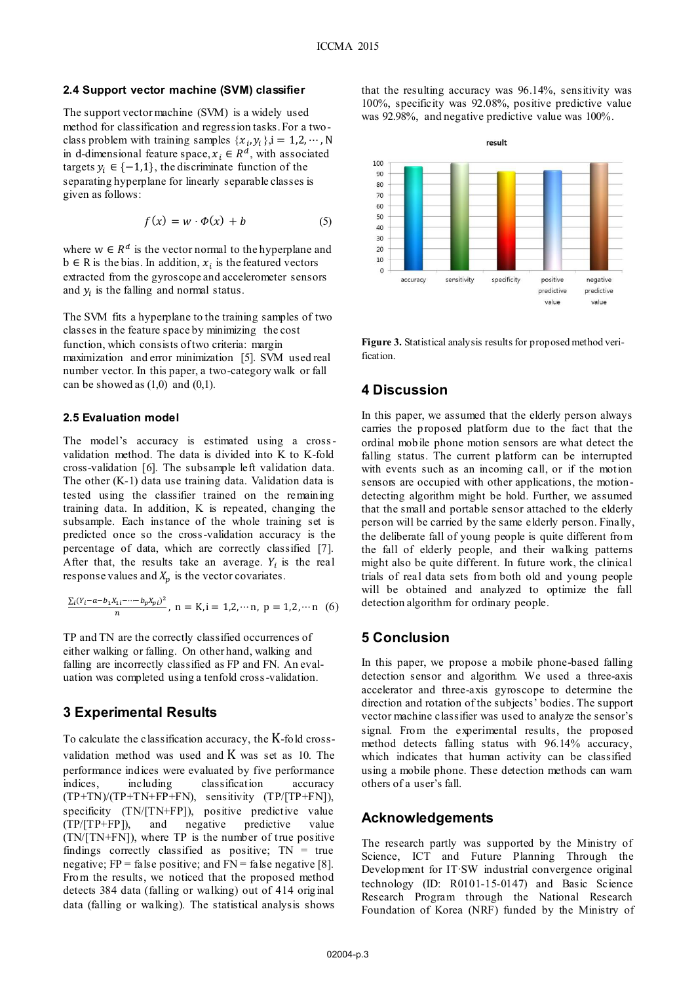### **2.4 Support vector machine (SVM) classifier**

The support vector machine (SVM) is a widely used method for classification and regression tasks. For a twoclass problem with training samples  $\{x_i, y_i\}$ ,  $i = 1, 2, \dots, N$ in d-dimensional feature space,  $x_i \in R^d$ , with associated targets  $y_i \in \{-1,1\}$ , the discriminate function of the separating hyperplane for linearly separable classes is given as follows:

$$
f(x) = w \cdot \Phi(x) + b \tag{5}
$$

where  $w \in R^d$  is the vector normal to the hyperplane and  $b \in R$  is the bias. In addition,  $x_i$  is the featured vectors extracted from the gyroscope and accelerometer sensors and  $y_i$  is the falling and normal status.

The SVM fits a hyperplane to the training samples of two classes in the feature space by minimizing the cost function, which consists of two criteria: margin maximization and error minimization [5]. SVM used real number vector. In this paper, a two-category walk or fall can be showed as  $(1,0)$  and  $(0,1)$ .

### **2.5 Evaluation model**

The model's accuracy is estimated using a cross validation method. The data is divided into K to K-fold cross-validation [6]. The subsample left validation data. The other (K-1) data use training data. Validation data is tested using the classifier trained on the remaining training data. In addition, K is repeated, changing the subsample. Each instance of the whole training set is predicted once so the cross-validation accuracy is the percentage of data, which are correctly classified [7]. After that, the results take an average.  $Y_i$  is the real response values and  $X_n$  is the vector covariates.

$$
\frac{\sum_i (Y_i - a - b_1 X_{1i} - \dots - b_p X_{pi})^2}{n}, \ n = K, i = 1, 2, \dots, p = 1, 2, \dots, n \quad (6)
$$

TP and TN are the correctly classified occurrences of either walking or falling. On other hand, walking and falling are incorrectly classified as FP and FN. An evaluation was completed using a tenfold cross-validation.

## **3 Experimental Results**

To calculate the classification accuracy, the K-fold crossvalidation method was used and  $K$  was set as 10. The performance indices were evaluated by five performance indices, including classification accuracy (TP+TN)/(TP+TN+FP+FN), sensitivity (TP/[TP+FN]), specificity (TN/[TN+FP]), positive predictive value (TP/[TP+FP]), and negative predictive value (TN/[TN+FN]), where TP is the number of true positive findings correctly classified as positive;  $TN = true$ negative;  $FP = false$  positive; and  $FN = false$  negative [8]. From the results, we noticed that the proposed method detects 384 data (falling or walking) out of 414 original data (falling or walking). The statistical analysis shows

that the resulting accuracy was 96.14%, sensitivity was 100%, specificity was 92.08%, positive predictive value was 92.98%, and negative predictive value was 100%.



**Figure 3.** Statistical analysis results for proposed method verification.

### **4 Discussion**

In this paper, we assumed that the elderly person always carries the proposed platform due to the fact that the ordinal mobile phone motion sensors are what detect the falling status. The current platform can be interrupted with events such as an incoming call, or if the motion sensors are occupied with other applications, the motiondetecting algorithm might be hold. Further, we assumed that the small and portable sensor attached to the elderly person will be carried by the same elderly person. Finally, the deliberate fall of young people is quite different from the fall of elderly people, and their walking patterns might also be quite different. In future work, the clinical trials of real data sets from both old and young people will be obtained and analyzed to optimize the fall detection algorithm for ordinary people.

# **5 Conclusion**

In this paper, we propose a mobile phone-based falling detection sensor and algorithm. We used a three-axis accelerator and three-axis gyroscope to determine the direction and rotation of the subjects' bodies. The support vector machine classifier was used to analyze the sensor's signal. From the experimental results, the proposed method detects falling status with 96.14% accuracy, which indicates that human activity can be classified using a mobile phone. These detection methods can warn others of a user's fall.

## **Acknowledgements**

The research partly was supported by the Ministry of Science, ICT and Future Planning Through the Development for IT·SW industrial convergence original technology (ID: R0101-15-0147) and Basic Science Research Program through the National Research Foundation of Korea (NRF) funded by the Ministry of